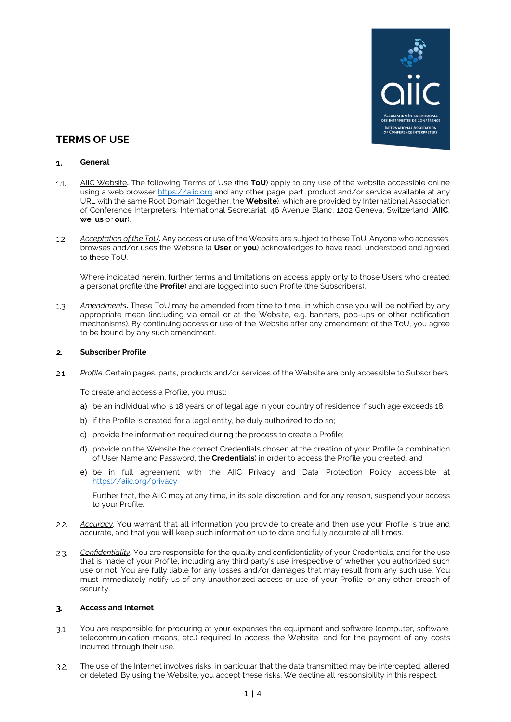

# **TERMS OF USE**

## **General**  $\mathbf{1}$

- AIIC Website**.** The following Terms of Use (the **ToU**) apply to any use of the website accessible online  $1.1.$ using a web browser [https://aiic.org](https://aiic.org/) and any other page, part, product and/or service available at any URL with the same Root Domain (together, the **Website**), which are provided by International Association of Conference Interpreters, International Secretariat, 46 Avenue Blanc, 1202 Geneva, Switzerland (**AIIC**, **we**, **us** or **our**).
- *Acceptation of the ToU***.** Any access or use of the Website are subject to these ToU. Anyone who accesses,  $1.2<sub>1</sub>$ browses and/or uses the Website (a **User** or **you**) acknowledges to have read, understood and agreed to these ToU.

Where indicated herein, further terms and limitations on access apply only to those Users who created a personal profile (the **Profile**) and are logged into such Profile (the Subscribers).

*Amendments***.** These ToU may be amended from time to time, in which case you will be notified by any  $1.3.$ appropriate mean (including via email or at the Website, e.g. banners, pop-ups or other notification mechanisms). By continuing access or use of the Website after any amendment of the ToU, you agree to be bound by any such amendment.

# **Subscriber Profile**  $2.$

 $21$ *Profile*. Certain pages, parts, products and/or services of the Website are only accessible to Subscribers.

To create and access a Profile, you must:

- a) be an individual who is 18 years or of legal age in your country of residence if such age exceeds 18;
- b) if the Profile is created for a legal entity, be duly authorized to do so;
- c) provide the information required during the process to create a Profile;
- d) provide on the Website the correct Credentials chosen at the creation of your Profile (a combination of User Name and Password, the **Credentials**) in order to access the Profile you created, and
- e) be in full agreement with the AIIC Privacy and Data Protection Policy accessible at [https://aiic.org/privacy.](https://aiic.org/privacy)

Further that, the AIIC may at any time, in its sole discretion, and for any reason, suspend your access to your Profile.

- *Accuracy*. You warrant that all information you provide to create and then use your Profile is true and  $2.2.$ accurate, and that you will keep such information up to date and fully accurate at all times.
- *Confidentiality***.** You are responsible for the quality and confidentiality of your Credentials, and for the use  $2.3.$ that is made of your Profile, including any third party's use irrespective of whether you authorized such use or not. You are fully liable for any losses and/or damages that may result from any such use. You must immediately notify us of any unauthorized access or use of your Profile, or any other breach of security.

## **Access and Internet**  $3.$

- You are responsible for procuring at your expenses the equipment and software (computer, software,  $3.1.$ telecommunication means, etc.) required to access the Website, and for the payment of any costs incurred through their use.
- The use of the Internet involves risks, in particular that the data transmitted may be intercepted, altered  $3.2.$ or deleted. By using the Website, you accept these risks. We decline all responsibility in this respect.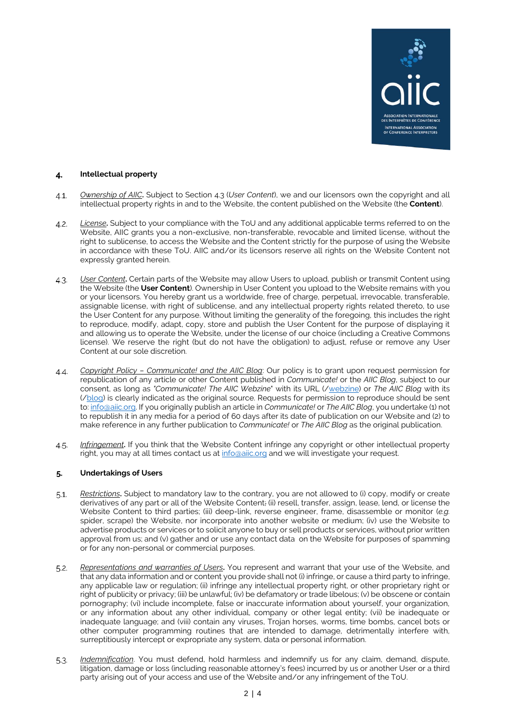

### 4. **Intellectual property**

- $4.1.$ *Ownership of AIIC***.** Subject to Section [4.3](#page-1-0) (*User Content*), we and our licensors own the copyright and all intellectual property rights in and to the Website, the content published on the Website (the **Content**).
- *License***.** Subject to your compliance with the ToU and any additional applicable terms referred to on the  $4.2.$ Website, AIIC grants you a non-exclusive, non-transferable, revocable and limited license, without the right to sublicense, to access the Website and the Content strictly for the purpose of using the Website in accordance with these ToU. AIIC and/or its licensors reserve all rights on the Website Content not expressly granted herein.
- <span id="page-1-0"></span>*User Content***.** Certain parts of the Website may allow Users to upload, publish or transmit Content using  $4.3.$ the Website (the **User Content**). Ownership in User Content you upload to the Website remains with you or your licensors. You hereby grant us a worldwide, free of charge, perpetual, irrevocable, transferable, assignable license, with right of sublicense, and any intellectual property rights related thereto, to use the User Content for any purpose. Without limiting the generality of the foregoing, this includes the right to reproduce, modify, adapt, copy, store and publish the User Content for the purpose of displaying it and allowing us to operate the Website, under the license of our choice (including a Creative Commons license). We reserve the right (but do not have the obligation) to adjust, refuse or remove any User Content at our sole discretion.
- *Copyright Policy – Communicate! and the AIIC Blog*: Our policy is to grant upon request permission for  $A.A.$ republication of any article or other Content published in *Communicate!* or the *AIIC Blog*, subject to our consent, as long as *"Communicate! The AIIC Webzine*" with its URL ([/webzine\)](https://aiic.net/webzine) or *The AIIC Blog* with its ([/blog\)](https://aiic.net/blog) is clearly indicated as the original source. Requests for permission to reproduce should be sent to[: info@aiic.org.](mailto:info@aiic.orget) If you originally publish an article in *Communicate!* or *The AIIC Blog*, you undertake (1) not to republish it in any media for a period of 60 days after its date of publication on our Website and (2) to make reference in any further publication to *Communicate!* or *The AIIC Blog* as the original publication.
- *Infringement***.** If you think that the Website Content infringe any copyright or other intellectual property  $4.5.$ right, you may at all times contact us at info@aiic.org and we will investigate your request.

#### 5. **Undertakings of Users**

- $5.1.$ *Restrictions***.** Subject to mandatory law to the contrary, you are not allowed to (i) copy, modify or create derivatives of any part or all of the Website Content; (ii) resell, transfer, assign, lease, lend, or license the Website Content to third parties; (iii) deep-link, reverse engineer, frame, disassemble or monitor (*e.g.* spider, scrape) the Website, nor incorporate into another website or medium; (iv) use the Website to advertise products or services or to solicit anyone to buy or sell products or services, without prior written approval from us; and (v) gather and or use any contact data on the Website for purposes of spamming or for any non-personal or commercial purposes.
- $5.2.$ *Representations and warranties of Users***.** You represent and warrant that your use of the Website, and that any data information and or content you provide shall not (i) infringe, or cause a third party to infringe, any applicable law or regulation; (ii) infringe any intellectual property right, or other proprietary right or right of publicity or privacy; (iii) be unlawful; (iv) be defamatory or trade libelous; (v) be obscene or contain pornography; (vi) include incomplete, false or inaccurate information about yourself, your organization, or any information about any other individual, company or other legal entity; (vii) be inadequate or inadequate language; and (viii) contain any viruses, Trojan horses, worms, time bombs, cancel bots or other computer programming routines that are intended to damage, detrimentally interfere with, surreptitiously intercept or expropriate any system, data or personal information.
- $5.3.$ *Indemnification*. You must defend, hold harmless and indemnify us for any claim, demand, dispute, litigation, damage or loss (including reasonable attorney's fees) incurred by us or another User or a third party arising out of your access and use of the Website and/or any infringement of the ToU.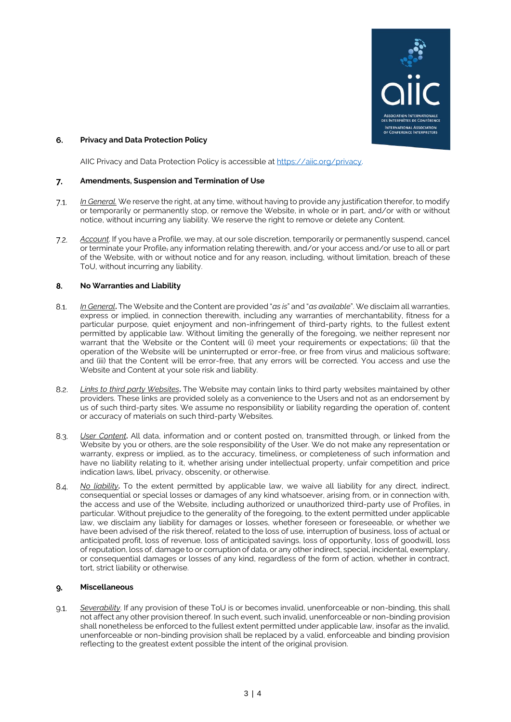

## 6. **Privacy and Data Protection Policy**

AIIC Privacy and Data Protection Policy is accessible a[t https://aiic.org/privacy](https://aiic.org/privacy).

#### $\overline{7}$ . **Amendments, Suspension and Termination of Use**

- $7.1.$ *In General.* We reserve the right, at any time, without having to provide any justification therefor, to modify or temporarily or permanently stop, or remove the Website, in whole or in part, and/or with or without notice, without incurring any liability. We reserve the right to remove or delete any Content.
- *Account*. If you have a Profile, we may, at our sole discretion, temporarily or permanently suspend, cancel  $7.2.$ or terminate your Profile, any information relating therewith, and/or your access and/or use to all or part of the Website, with or without notice and for any reason, including, without limitation, breach of these ToU, without incurring any liability.

# 8. **No Warranties and Liability**

- $8.1.$ *In General***.** The Website and the Content are provided "*as is*" and "*as available*". We disclaim all warranties, express or implied, in connection therewith, including any warranties of merchantability, fitness for a particular purpose, quiet enjoyment and non-infringement of third-party rights, to the fullest extent permitted by applicable law. Without limiting the generally of the foregoing, we neither represent nor warrant that the Website or the Content will (i) meet your requirements or expectations; (ii) that the operation of the Website will be uninterrupted or error-free, or free from virus and malicious software; and (iii) that the Content will be error-free, that any errors will be corrected. You access and use the Website and Content at your sole risk and liability.
- $8.2$ *Links to third party Websites***.** The Website may contain links to third party websites maintained by other providers. These links are provided solely as a convenience to the Users and not as an endorsement by us of such third-party sites. We assume no responsibility or liability regarding the operation of, content or accuracy of materials on such third-party Websites.
- 8.3. *User Content***.** All data, information and or content posted on, transmitted through, or linked from the Website by you or others, are the sole responsibility of the User. We do not make any representation or warranty, express or implied, as to the accuracy, timeliness, or completeness of such information and have no liability relating to it, whether arising under intellectual property, unfair competition and price indication laws, libel, privacy, obscenity, or otherwise.
- $8.4.$ *No liability***.** To the extent permitted by applicable law, we waive all liability for any direct, indirect, consequential or special losses or damages of any kind whatsoever, arising from, or in connection with, the access and use of the Website, including authorized or unauthorized third-party use of Profiles, in particular. Without prejudice to the generality of the foregoing, to the extent permitted under applicable law, we disclaim any liability for damages or losses, whether foreseen or foreseeable, or whether we have been advised of the risk thereof, related to the loss of use, interruption of business, loss of actual or anticipated profit, loss of revenue, loss of anticipated savings, loss of opportunity, loss of goodwill, loss of reputation, loss of, damage to or corruption of data, or any other indirect, special, incidental, exemplary, or consequential damages or losses of any kind, regardless of the form of action, whether in contract, tort, strict liability or otherwise.

#### **Miscellaneous**  $Q_{\rm L}$

*Severability*. If any provision of these ToU is or becomes invalid, unenforceable or non-binding, this shall  $Q.1$ not affect any other provision thereof. In such event, such invalid, unenforceable or non-binding provision shall nonetheless be enforced to the fullest extent permitted under applicable law, insofar as the invalid, unenforceable or non-binding provision shall be replaced by a valid, enforceable and binding provision reflecting to the greatest extent possible the intent of the original provision.